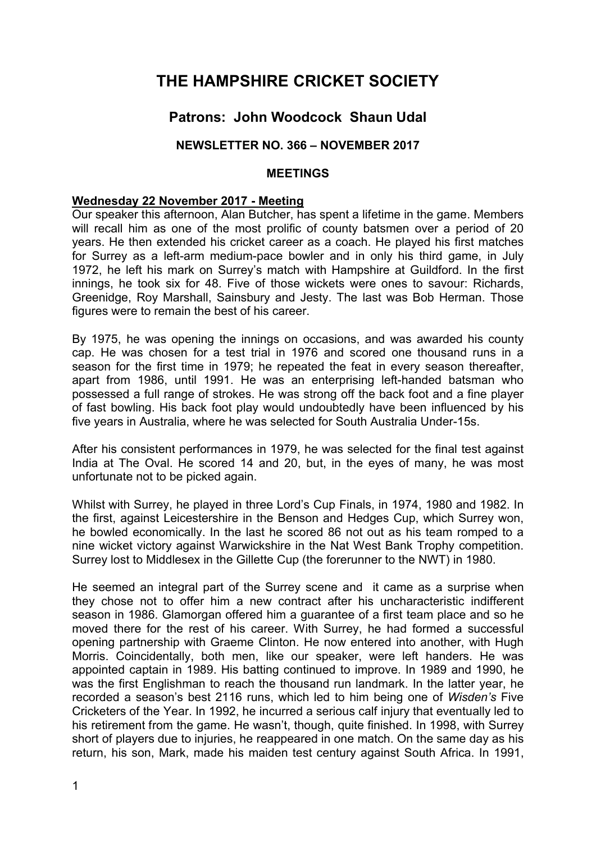# **THE HAMPSHIRE CRICKET SOCIETY**

# **Patrons: John Woodcock Shaun Udal**

# **NEWSLETTER NO. 366 – NOVEMBER 2017**

### **MEETINGS**

#### **Wednesday 22 November 2017 - Meeting**

Our speaker this afternoon, Alan Butcher, has spent a lifetime in the game. Members will recall him as one of the most prolific of county batsmen over a period of 20 years. He then extended his cricket career as a coach. He played his first matches for Surrey as a left-arm medium-pace bowler and in only his third game, in July 1972, he left his mark on Surrey's match with Hampshire at Guildford. In the first innings, he took six for 48. Five of those wickets were ones to savour: Richards, Greenidge, Roy Marshall, Sainsbury and Jesty. The last was Bob Herman. Those figures were to remain the best of his career.

By 1975, he was opening the innings on occasions, and was awarded his county cap. He was chosen for a test trial in 1976 and scored one thousand runs in a season for the first time in 1979; he repeated the feat in every season thereafter, apart from 1986, until 1991. He was an enterprising left-handed batsman who possessed a full range of strokes. He was strong off the back foot and a fine player of fast bowling. His back foot play would undoubtedly have been influenced by his five years in Australia, where he was selected for South Australia Under-15s.

After his consistent performances in 1979, he was selected for the final test against India at The Oval. He scored 14 and 20, but, in the eyes of many, he was most unfortunate not to be picked again.

Whilst with Surrey, he played in three Lord's Cup Finals, in 1974, 1980 and 1982. In the first, against Leicestershire in the Benson and Hedges Cup, which Surrey won, he bowled economically. In the last he scored 86 not out as his team romped to a nine wicket victory against Warwickshire in the Nat West Bank Trophy competition. Surrey lost to Middlesex in the Gillette Cup (the forerunner to the NWT) in 1980.

He seemed an integral part of the Surrey scene and it came as a surprise when they chose not to offer him a new contract after his uncharacteristic indifferent season in 1986. Glamorgan offered him a guarantee of a first team place and so he moved there for the rest of his career. With Surrey, he had formed a successful opening partnership with Graeme Clinton. He now entered into another, with Hugh Morris. Coincidentally, both men, like our speaker, were left handers. He was appointed captain in 1989. His batting continued to improve. In 1989 and 1990, he was the first Englishman to reach the thousand run landmark. In the latter year, he recorded a season's best 2116 runs, which led to him being one of *Wisden's* Five Cricketers of the Year. In 1992, he incurred a serious calf injury that eventually led to his retirement from the game. He wasn't, though, quite finished. In 1998, with Surrey short of players due to injuries, he reappeared in one match. On the same day as his return, his son, Mark, made his maiden test century against South Africa. In 1991,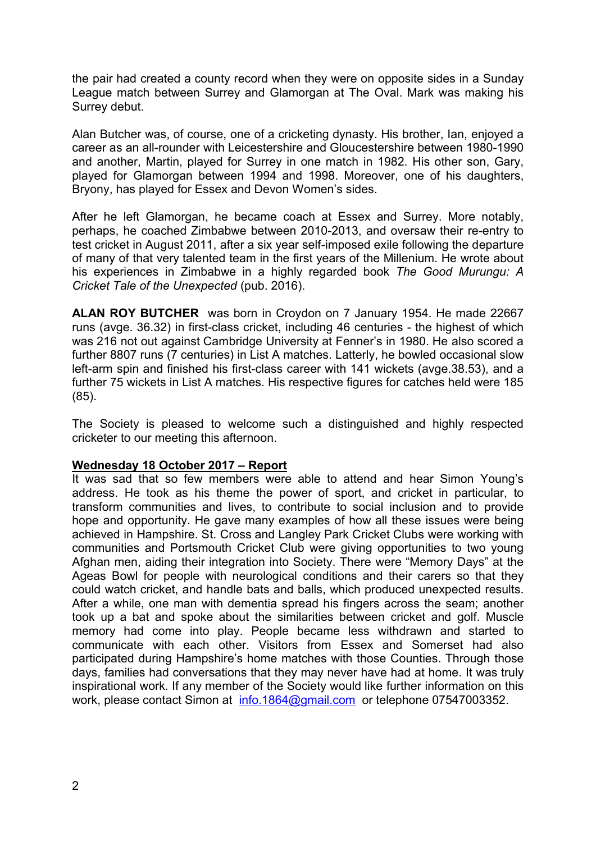the pair had created a county record when they were on opposite sides in a Sunday League match between Surrey and Glamorgan at The Oval. Mark was making his Surrey debut.

Alan Butcher was, of course, one of a cricketing dynasty. His brother, Ian, enjoyed a career as an all-rounder with Leicestershire and Gloucestershire between 1980-1990 and another, Martin, played for Surrey in one match in 1982. His other son, Gary, played for Glamorgan between 1994 and 1998. Moreover, one of his daughters, Bryony, has played for Essex and Devon Women's sides.

After he left Glamorgan, he became coach at Essex and Surrey. More notably, perhaps, he coached Zimbabwe between 2010-2013, and oversaw their re-entry to test cricket in August 2011, after a six year self-imposed exile following the departure of many of that very talented team in the first years of the Millenium. He wrote about his experiences in Zimbabwe in a highly regarded book *The Good Murungu: A Cricket Tale of the Unexpected* (pub. 2016).

**ALAN ROY BUTCHER** was born in Croydon on 7 January 1954. He made 22667 runs (avge. 36.32) in first-class cricket, including 46 centuries - the highest of which was 216 not out against Cambridge University at Fenner's in 1980. He also scored a further 8807 runs (7 centuries) in List A matches. Latterly, he bowled occasional slow left-arm spin and finished his first-class career with 141 wickets (avge.38.53), and a further 75 wickets in List A matches. His respective figures for catches held were 185 (85).

The Society is pleased to welcome such a distinguished and highly respected cricketer to our meeting this afternoon.

# **Wednesday 18 October 2017 – Report**

It was sad that so few members were able to attend and hear Simon Young's address. He took as his theme the power of sport, and cricket in particular, to transform communities and lives, to contribute to social inclusion and to provide hope and opportunity. He gave many examples of how all these issues were being achieved in Hampshire. St. Cross and Langley Park Cricket Clubs were working with communities and Portsmouth Cricket Club were giving opportunities to two young Afghan men, aiding their integration into Society. There were "Memory Days" at the Ageas Bowl for people with neurological conditions and their carers so that they could watch cricket, and handle bats and balls, which produced unexpected results. After a while, one man with dementia spread his fingers across the seam; another took up a bat and spoke about the similarities between cricket and golf. Muscle memory had come into play. People became less withdrawn and started to communicate with each other. Visitors from Essex and Somerset had also participated during Hampshire's home matches with those Counties. Through those days, families had conversations that they may never have had at home. It was truly inspirational work. If any member of the Society would like further information on this work, please contact Simon at info.1864@gmail.com or telephone 07547003352.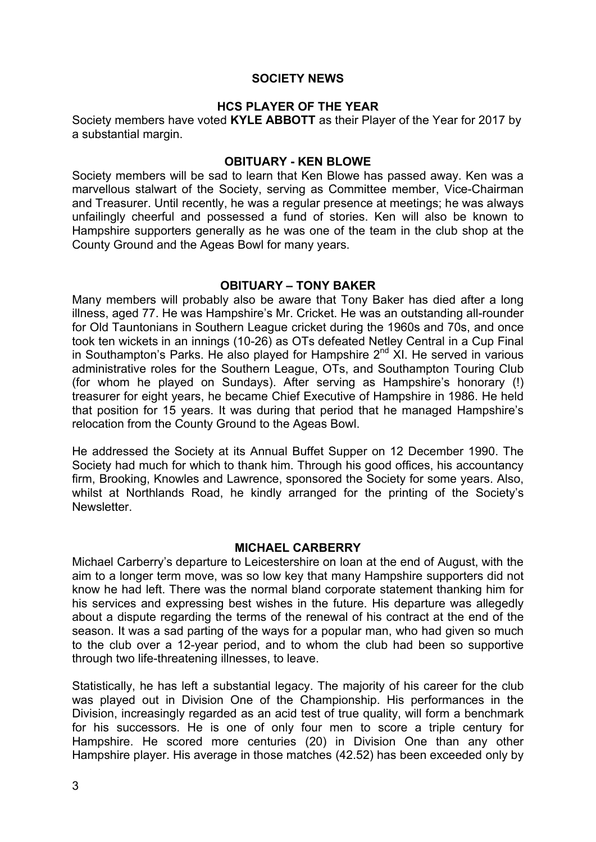# **SOCIETY NEWS**

# **HCS PLAYER OF THE YEAR**

Society members have voted **KYLE ABBOTT** as their Player of the Year for 2017 by a substantial margin.

### **OBITUARY - KEN BLOWE**

Society members will be sad to learn that Ken Blowe has passed away. Ken was a marvellous stalwart of the Society, serving as Committee member, Vice-Chairman and Treasurer. Until recently, he was a regular presence at meetings; he was always unfailingly cheerful and possessed a fund of stories. Ken will also be known to Hampshire supporters generally as he was one of the team in the club shop at the County Ground and the Ageas Bowl for many years.

### **OBITUARY – TONY BAKER**

Many members will probably also be aware that Tony Baker has died after a long illness, aged 77. He was Hampshire's Mr. Cricket. He was an outstanding all-rounder for Old Tauntonians in Southern League cricket during the 1960s and 70s, and once took ten wickets in an innings (10-26) as OTs defeated Netley Central in a Cup Final in Southampton's Parks. He also played for Hampshire  $2<sup>nd</sup>$  XI. He served in various administrative roles for the Southern League, OTs, and Southampton Touring Club (for whom he played on Sundays). After serving as Hampshire's honorary (!) treasurer for eight years, he became Chief Executive of Hampshire in 1986. He held that position for 15 years. It was during that period that he managed Hampshire's relocation from the County Ground to the Ageas Bowl.

He addressed the Society at its Annual Buffet Supper on 12 December 1990. The Society had much for which to thank him. Through his good offices, his accountancy firm, Brooking, Knowles and Lawrence, sponsored the Society for some years. Also, whilst at Northlands Road, he kindly arranged for the printing of the Society's **Newsletter** 

#### **MICHAEL CARBERRY**

Michael Carberry's departure to Leicestershire on loan at the end of August, with the aim to a longer term move, was so low key that many Hampshire supporters did not know he had left. There was the normal bland corporate statement thanking him for his services and expressing best wishes in the future. His departure was allegedly about a dispute regarding the terms of the renewal of his contract at the end of the season. It was a sad parting of the ways for a popular man, who had given so much to the club over a 12-year period, and to whom the club had been so supportive through two life-threatening illnesses, to leave.

Statistically, he has left a substantial legacy. The majority of his career for the club was played out in Division One of the Championship. His performances in the Division, increasingly regarded as an acid test of true quality, will form a benchmark for his successors. He is one of only four men to score a triple century for Hampshire. He scored more centuries (20) in Division One than any other Hampshire player. His average in those matches (42.52) has been exceeded only by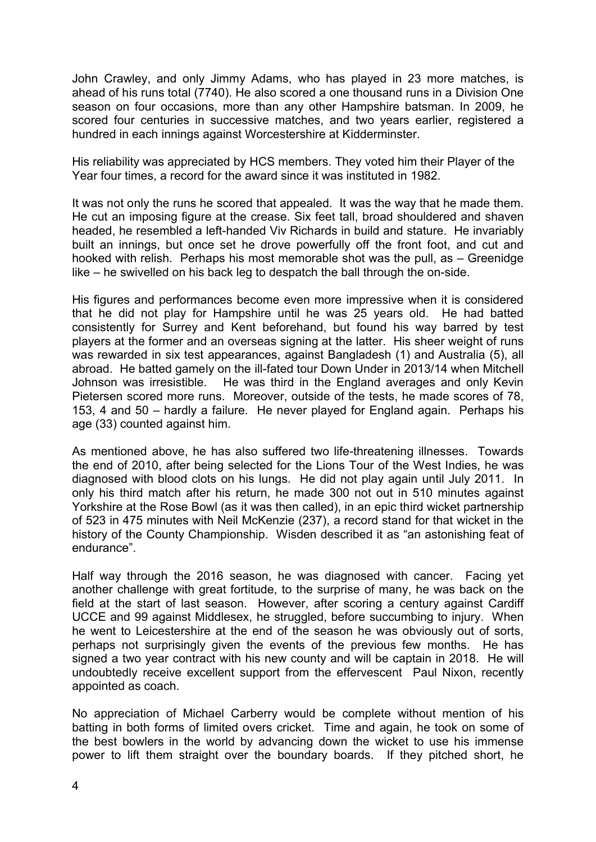John Crawley, and only Jimmy Adams, who has played in 23 more matches, is ahead of his runs total (7740). He also scored a one thousand runs in a Division One season on four occasions, more than any other Hampshire batsman. In 2009, he scored four centuries in successive matches, and two years earlier, registered a hundred in each innings against Worcestershire at Kidderminster.

His reliability was appreciated by HCS members. They voted him their Player of the Year four times, a record for the award since it was instituted in 1982.

It was not only the runs he scored that appealed. It was the way that he made them. He cut an imposing figure at the crease. Six feet tall, broad shouldered and shaven headed, he resembled a left-handed Viv Richards in build and stature. He invariably built an innings, but once set he drove powerfully off the front foot, and cut and hooked with relish. Perhaps his most memorable shot was the pull, as – Greenidge like – he swivelled on his back leg to despatch the ball through the on-side.

His figures and performances become even more impressive when it is considered that he did not play for Hampshire until he was 25 years old. He had batted consistently for Surrey and Kent beforehand, but found his way barred by test players at the former and an overseas signing at the latter. His sheer weight of runs was rewarded in six test appearances, against Bangladesh (1) and Australia (5), all abroad. He batted gamely on the ill-fated tour Down Under in 2013/14 when Mitchell Johnson was irresistible. He was third in the England averages and only Kevin Pietersen scored more runs. Moreover, outside of the tests, he made scores of 78, 153, 4 and 50 – hardly a failure. He never played for England again. Perhaps his age (33) counted against him.

As mentioned above, he has also suffered two life-threatening illnesses. Towards the end of 2010, after being selected for the Lions Tour of the West Indies, he was diagnosed with blood clots on his lungs. He did not play again until July 2011. In only his third match after his return, he made 300 not out in 510 minutes against Yorkshire at the Rose Bowl (as it was then called), in an epic third wicket partnership of 523 in 475 minutes with Neil McKenzie (237), a record stand for that wicket in the history of the County Championship. Wisden described it as "an astonishing feat of endurance".

Half way through the 2016 season, he was diagnosed with cancer. Facing yet another challenge with great fortitude, to the surprise of many, he was back on the field at the start of last season. However, after scoring a century against Cardiff UCCE and 99 against Middlesex, he struggled, before succumbing to injury. When he went to Leicestershire at the end of the season he was obviously out of sorts, perhaps not surprisingly given the events of the previous few months. He has signed a two year contract with his new county and will be captain in 2018. He will undoubtedly receive excellent support from the effervescent Paul Nixon, recently appointed as coach.

No appreciation of Michael Carberry would be complete without mention of his batting in both forms of limited overs cricket. Time and again, he took on some of the best bowlers in the world by advancing down the wicket to use his immense power to lift them straight over the boundary boards. If they pitched short, he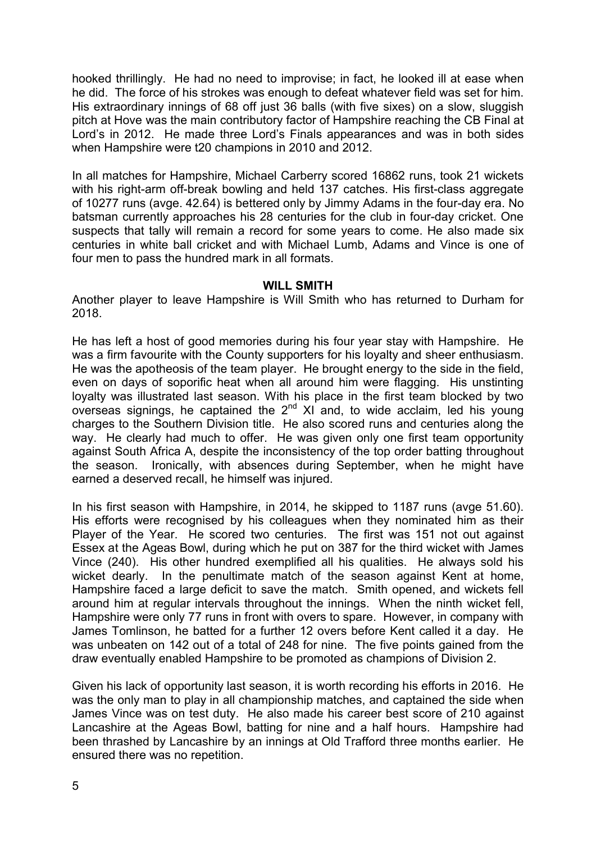hooked thrillingly. He had no need to improvise; in fact, he looked ill at ease when he did. The force of his strokes was enough to defeat whatever field was set for him. His extraordinary innings of 68 off just 36 balls (with five sixes) on a slow, sluggish pitch at Hove was the main contributory factor of Hampshire reaching the CB Final at Lord's in 2012. He made three Lord's Finals appearances and was in both sides when Hampshire were t20 champions in 2010 and 2012.

In all matches for Hampshire, Michael Carberry scored 16862 runs, took 21 wickets with his right-arm off-break bowling and held 137 catches. His first-class aggregate of 10277 runs (avge. 42.64) is bettered only by Jimmy Adams in the four-day era. No batsman currently approaches his 28 centuries for the club in four-day cricket. One suspects that tally will remain a record for some years to come. He also made six centuries in white ball cricket and with Michael Lumb, Adams and Vince is one of four men to pass the hundred mark in all formats.

#### **WILL SMITH**

Another player to leave Hampshire is Will Smith who has returned to Durham for 2018.

He has left a host of good memories during his four year stay with Hampshire. He was a firm favourite with the County supporters for his loyalty and sheer enthusiasm. He was the apotheosis of the team player. He brought energy to the side in the field, even on days of soporific heat when all around him were flagging. His unstinting loyalty was illustrated last season. With his place in the first team blocked by two overseas signings, he captained the  $2<sup>nd</sup>$  XI and, to wide acclaim, led his young charges to the Southern Division title. He also scored runs and centuries along the way. He clearly had much to offer. He was given only one first team opportunity against South Africa A, despite the inconsistency of the top order batting throughout the season. Ironically, with absences during September, when he might have earned a deserved recall, he himself was injured.

In his first season with Hampshire, in 2014, he skipped to 1187 runs (avge 51.60). His efforts were recognised by his colleagues when they nominated him as their Player of the Year. He scored two centuries. The first was 151 not out against Essex at the Ageas Bowl, during which he put on 387 for the third wicket with James Vince (240). His other hundred exemplified all his qualities. He always sold his wicket dearly. In the penultimate match of the season against Kent at home, Hampshire faced a large deficit to save the match. Smith opened, and wickets fell around him at regular intervals throughout the innings. When the ninth wicket fell, Hampshire were only 77 runs in front with overs to spare. However, in company with James Tomlinson, he batted for a further 12 overs before Kent called it a day. He was unbeaten on 142 out of a total of 248 for nine. The five points gained from the draw eventually enabled Hampshire to be promoted as champions of Division 2.

Given his lack of opportunity last season, it is worth recording his efforts in 2016. He was the only man to play in all championship matches, and captained the side when James Vince was on test duty. He also made his career best score of 210 against Lancashire at the Ageas Bowl, batting for nine and a half hours. Hampshire had been thrashed by Lancashire by an innings at Old Trafford three months earlier. He ensured there was no repetition.